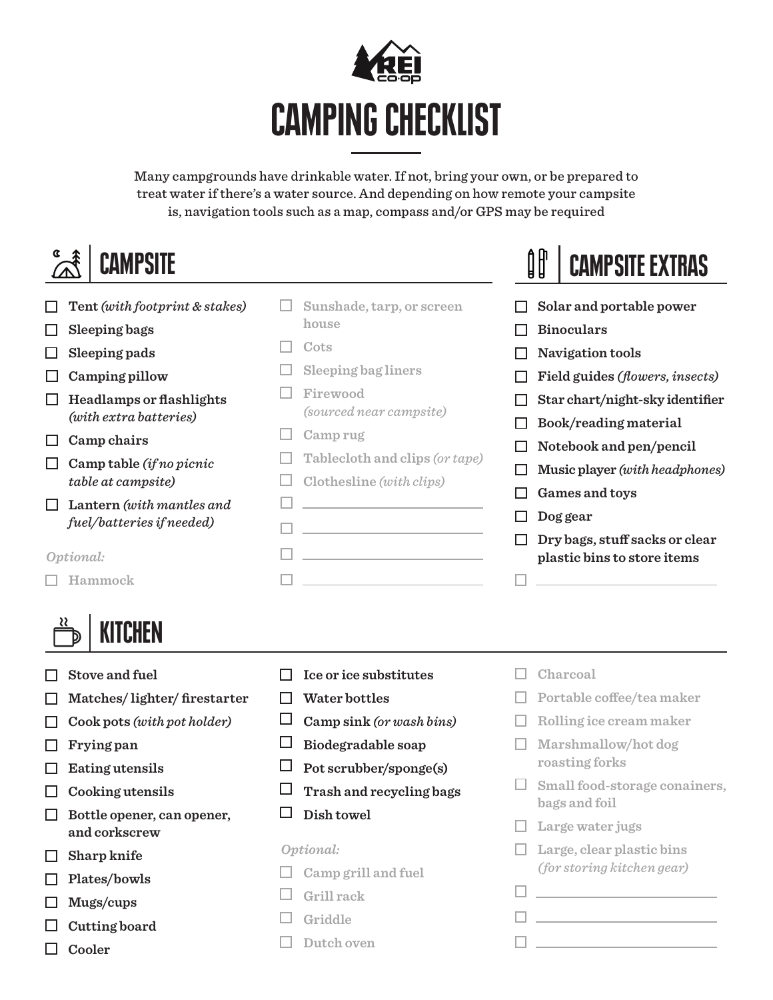

Many campgrounds have drinkable water. If not, bring your own, or be prepared to treat water if there's a water source. And depending on how remote your campsite is, navigation tools such as a map, compass and/or GPS may be required

## **CAMPSITE**

- **Tent** *(with footprint & stakes)*
- **Sleeping bags**
- **Sleeping pads**
- **Camping pillow**
- **Headlamps or flashlights** *(with extra batteries)*
- **Camp chairs**
- **Camp table** *(if no picnic table at campsite)*
- **Lantern** *(with mantles and fuel/batteries if needed)*

*Optional:*

**Hammock**



- **Stove and fuel**
- **Matches/ lighter/ firestarter**
- **Cook pots** *(with pot holder)*
- **Frying pan**
- **Eating utensils**
- **Cooking utensils**
- **Bottle opener, can opener, and corkscrew**
- **Sharp knife**
- **Plates/bowls**
- **Mugs/cups**
- **Cutting board**
- **Cooler**
- **Sunshade, tarp, or screen house**
- **Cots**
- **Sleeping bag liners**
- **Firewood**  *(sourced near campsite)*
- **Camp rug**
- **Tablecloth and clips** *(or tape)*
- **Clothesline** *(with clips)*

**The company's company's company's** 

 $\Box$  and  $\Box$  and  $\Box$  and  $\Box$ 

- $\Box$
- **The community of the community**

**Field guides** *(flowers, insects)* **Star chart/night-sky identifier**

**Binoculars**

**Navigation tools**

- **Book/reading material**
- **Notebook and pen/pencil**

**Solar and portable power**

CAMPSITE EXTRAS

- **Music player** *(with headphones)*
- **Games and toys**

 $\Box$  and  $\Box$  and  $\Box$ 

- **Dog gear**
- **Dry bags, stuff sacks or clear plastic bins to store items**

- **Ice or ice substitutes**
- **Water bottles**
- **Camp sink** *(or wash bins)*
- **Biodegradable soap**
- **Pot scrubber/sponge(s)**
- **Trash and recycling bags**
- **Dish towel**

#### *Optional:*

- **Camp grill and fuel**
- **Grill rack**
- **Griddle**
- **Dutch oven**
- **Charcoal**
- **Portable coffee/tea maker**
- **Rolling ice cream maker**
- **Marshmallow/hot dog roasting forks**
- **Small food-storage conainers, bags and foil**
- **Large water jugs**
- **Large, clear plastic bins**  *(for storing kitchen gear)*

**Experience of the Community** 

 $\Box$